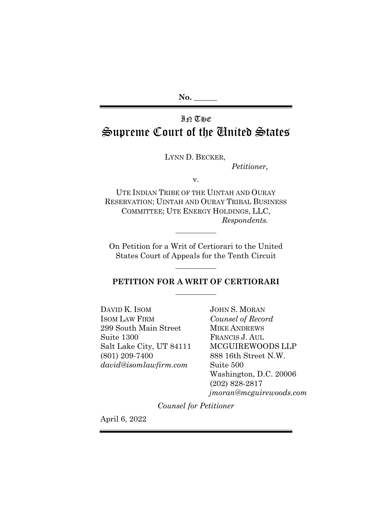# IN THE Supreme Court of the United States

LYNN D. BECKER,

*Petitioner,*

v.

UTE INDIAN TRIBE OF THE UINTAH AND OURAY RESERVATION; UINTAH AND OURAY TRIBAL BUSINESS COMMITTEE; UTE ENERGY HOLDINGS, LLC, *Respondents.*

On Petition for a Writ of Certiorari to the United States Court of Appeals for the Tenth Circuit

 $\overline{a}$ 

## **PETITION FOR A WRIT OF CERTIORARI**

DAVID K. ISOM ISOM LAW FIRM 299 South Main Street Suite 1300 Salt Lake City, UT 84111 (801) 209-7400 *david@isomlawfirm.com*

JOHN S. MORAN *Counsel of Record* MIKE ANDREWS FRANCIS J. AUL MCGUIREWOODS LLP 888 16th Street N.W. Suite 500 Washington, D.C. 20006 (202) 828-2817 *jmoran@mcguirewoods.com*

*Counsel for Petitioner*

April 6, 2022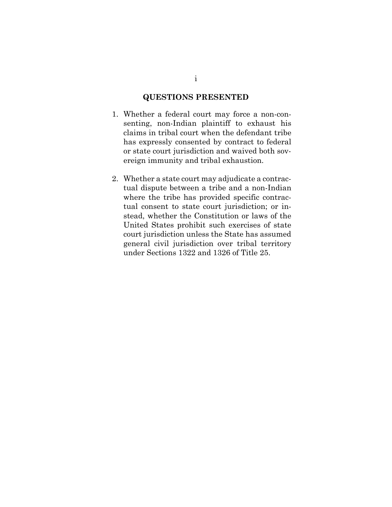## **QUESTIONS PRESENTED**

- <span id="page-1-0"></span>1. Whether a federal court may force a non-consenting, non-Indian plaintiff to exhaust his claims in tribal court when the defendant tribe has expressly consented by contract to federal or state court jurisdiction and waived both sovereign immunity and tribal exhaustion.
- 2. Whether a state court may adjudicate a contractual dispute between a tribe and a non-Indian where the tribe has provided specific contractual consent to state court jurisdiction; or instead, whether the Constitution or laws of the United States prohibit such exercises of state court jurisdiction unless the State has assumed general civil jurisdiction over tribal territory under Sections 1322 and 1326 of Title 25.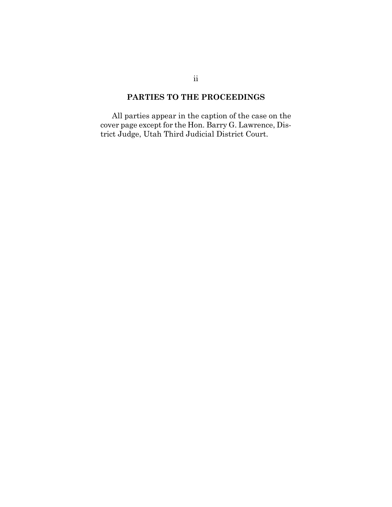## **PARTIES TO THE PROCEEDINGS**

<span id="page-2-0"></span>All parties appear in the caption of the case on the cover page except for the Hon. Barry G. Lawrence, District Judge, Utah Third Judicial District Court.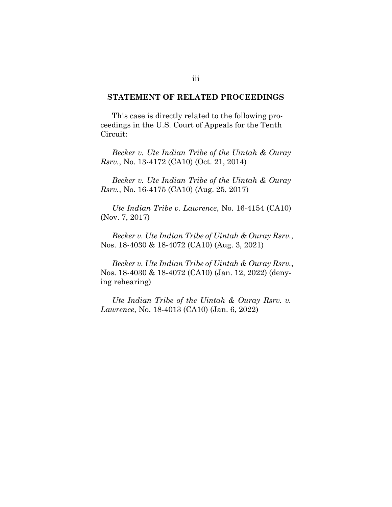### <span id="page-3-0"></span>**STATEMENT OF RELATED PROCEEDINGS**

This case is directly related to the following proceedings in the U.S. Court of Appeals for the Tenth Circuit:

*Becker v. Ute Indian Tribe of the Uintah & Ouray Rsrv.*, No. 13-4172 (CA10) (Oct. 21, 2014)

*Becker v. Ute Indian Tribe of the Uintah & Ouray Rsrv.*, No. 16-4175 (CA10) (Aug. 25, 2017)

*Ute Indian Tribe v. Lawrence*, No. 16-4154 (CA10) (Nov. 7, 2017)

*Becker v. Ute Indian Tribe of Uintah & Ouray Rsrv.*, Nos. 18-4030 & 18-4072 (CA10) (Aug. 3, 2021)

*Becker v. Ute Indian Tribe of Uintah & Ouray Rsrv.*, Nos. 18-4030 & 18-4072 (CA10) (Jan. 12, 2022) (denying rehearing)

*Ute Indian Tribe of the Uintah & Ouray Rsrv. v. Lawrence*, No. 18-4013 (CA10) (Jan. 6, 2022)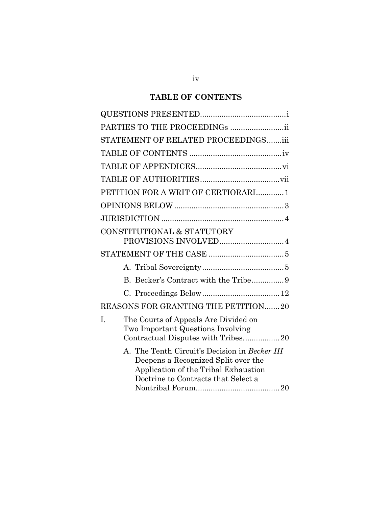# **TABLE OF CONTENTS**

<span id="page-4-0"></span>

| PARTIES TO THE PROCEEDINGs ii                                                                                                                                       |
|---------------------------------------------------------------------------------------------------------------------------------------------------------------------|
| STATEMENT OF RELATED PROCEEDINGSiii                                                                                                                                 |
|                                                                                                                                                                     |
|                                                                                                                                                                     |
|                                                                                                                                                                     |
| PETITION FOR A WRIT OF CERTIORARI1                                                                                                                                  |
|                                                                                                                                                                     |
|                                                                                                                                                                     |
| CONSTITUTIONAL & STATUTORY<br>PROVISIONS INVOLVED 4                                                                                                                 |
|                                                                                                                                                                     |
|                                                                                                                                                                     |
| B. Becker's Contract with the Tribe9                                                                                                                                |
|                                                                                                                                                                     |
| REASONS FOR GRANTING THE PETITION20                                                                                                                                 |
| I.<br>The Courts of Appeals Are Divided on<br>Two Important Questions Involving                                                                                     |
| A. The Tenth Circuit's Decision in Becker III<br>Deepens a Recognized Split over the<br>Application of the Tribal Exhaustion<br>Doctrine to Contracts that Select a |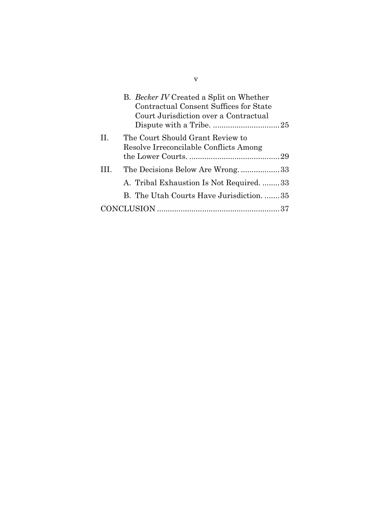|   | B. Becker IV Created a Split on Whether<br><b>Contractual Consent Suffices for State</b><br>Court Jurisdiction over a Contractual |  |
|---|-----------------------------------------------------------------------------------------------------------------------------------|--|
| H | The Court Should Grant Review to<br>Resolve Irreconcilable Conflicts Among                                                        |  |
|   |                                                                                                                                   |  |
| Ш | The Decisions Below Are Wrong33                                                                                                   |  |
|   | A. Tribal Exhaustion Is Not Required. 33                                                                                          |  |
|   | B. The Utah Courts Have Jurisdiction. 35                                                                                          |  |
|   |                                                                                                                                   |  |

v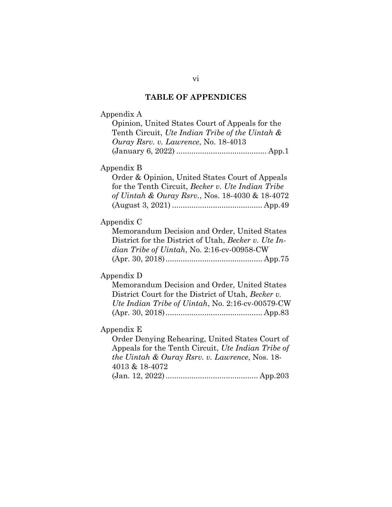# **TABLE OF APPENDICES**

<span id="page-6-0"></span>

| Appendix A<br>Opinion, United States Court of Appeals for the<br>Tenth Circuit, Ute Indian Tribe of the Uintah &<br>Ouray Rsrv. v. Lawrence, No. 18-4013 |
|----------------------------------------------------------------------------------------------------------------------------------------------------------|
| Appendix B                                                                                                                                               |
| Order & Opinion, United States Court of Appeals<br>for the Tenth Circuit, Becker v. Ute Indian Tribe<br>of Uintah & Ouray Rsrv., Nos. 18-4030 & 18-4072  |
| Appendix C                                                                                                                                               |
| Memorandum Decision and Order, United States                                                                                                             |
| District for the District of Utah, Becker v. Ute In-                                                                                                     |
| dian Tribe of Uintah, No. 2:16-cv-00958-CW                                                                                                               |
|                                                                                                                                                          |
| Appendix D                                                                                                                                               |
| Memorandum Decision and Order, United States                                                                                                             |
| District Court for the District of Utah, Becker v.                                                                                                       |
| Ute Indian Tribe of Uintah, No. 2:16-cv-00579-CW                                                                                                         |
|                                                                                                                                                          |
| Appendix E                                                                                                                                               |
| Order Denying Rehearing, United States Court of                                                                                                          |
| Appeals for the Tenth Circuit, Ute Indian Tribe of                                                                                                       |
| the Uintah & Ouray Rsrv. v. Lawrence, Nos. 18-                                                                                                           |
| 4013 & 18-4072                                                                                                                                           |
|                                                                                                                                                          |
|                                                                                                                                                          |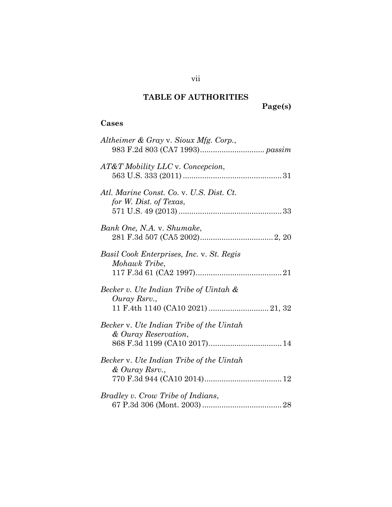# **TABLE OF AUTHORITIES**

# **Page(s)**

## <span id="page-7-0"></span>**Cases**

| Altheimer & Gray v. Sioux Mfg. Corp.,                                                       |
|---------------------------------------------------------------------------------------------|
| AT&T Mobility LLC v. Concepcion,                                                            |
| Atl. Marine Const. Co. v. U.S. Dist. Ct.<br>for W. Dist. of Texas,                          |
| Bank One, N.A. v. Shumake,                                                                  |
| Basil Cook Enterprises, Inc. v. St. Regis<br>Mohawk Tribe,                                  |
| Becker v. Ute Indian Tribe of Uintah &<br>Ouray Rsrv.,<br>11 F.4th 1140 (CA10 2021)  21, 32 |
| Becker v. Ute Indian Tribe of the Uintah<br>& Ouray Reservation,                            |
| Becker v. Ute Indian Tribe of the Uintah<br>& Ouray Rsrv.,                                  |
| Bradley v. Crow Tribe of Indians,                                                           |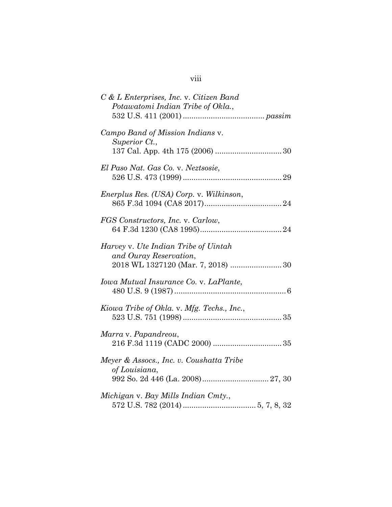| C & L Enterprises, Inc. v. Citizen Band<br>Potawatomi Indian Tribe of Okla.,                         |
|------------------------------------------------------------------------------------------------------|
| Campo Band of Mission Indians v.<br>Superior Ct.,                                                    |
| El Paso Nat. Gas Co. v. Neztsosie,                                                                   |
| Enerplus Res. (USA) Corp. v. Wilkinson,                                                              |
| FGS Constructors, Inc. v. Carlow,                                                                    |
| Harvey v. Ute Indian Tribe of Uintah<br>and Ouray Reservation,<br>2018 WL 1327120 (Mar. 7, 2018)  30 |
| Iowa Mutual Insurance Co. v. LaPlante,                                                               |
| Kiowa Tribe of Okla. v. Mfg. Techs., Inc.,                                                           |
| Marra v. Papandreou,                                                                                 |
| Meyer & Assocs., Inc. v. Coushatta Tribe<br>of Louisiana,                                            |
| Michigan v. Bay Mills Indian Cmty.,                                                                  |

# viii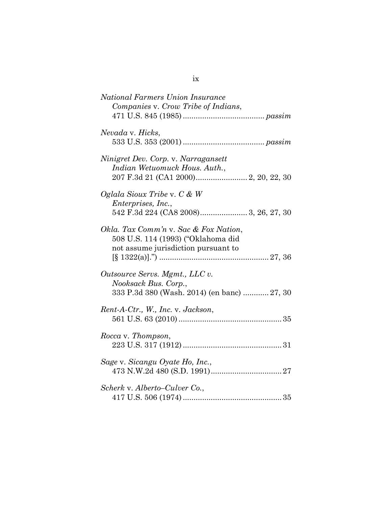| National Farmers Union Insurance<br>Companies v. Crow Tribe of Indians,                                            |
|--------------------------------------------------------------------------------------------------------------------|
| Nevada v. Hicks,                                                                                                   |
| Ninigret Dev. Corp. v. Narragansett<br>Indian Wetuomuck Hous. Auth.,                                               |
| Oglala Sioux Tribe v. $C \& W$<br><i>Enterprises, Inc.,</i>                                                        |
| Okla. Tax Comm'n v. Sac & Fox Nation,<br>508 U.S. 114 (1993) ("Oklahoma did<br>not assume jurisdiction pursuant to |
| Outsource Servs. Mgmt., LLC v.<br>Nooksack Bus. Corp.,<br>333 P.3d 380 (Wash. 2014) (en banc)  27, 30              |
| Rent-A-Ctr., W., Inc. v. Jackson,                                                                                  |
| Rocca v. Thompson,                                                                                                 |
| Sage v. Sicangu Oyate Ho, Inc.,                                                                                    |
| Scherk v. Alberto–Culver Co.,                                                                                      |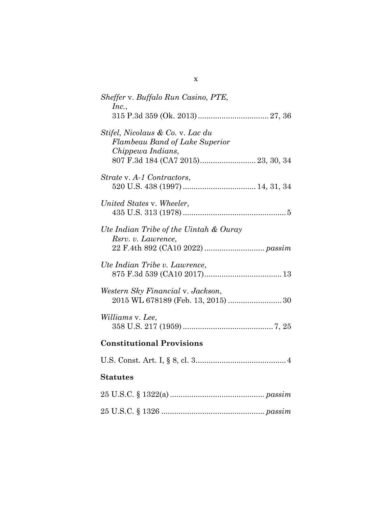| Sheffer v. Buffalo Run Casino, PTE,<br>Inc.,                                                                                         |
|--------------------------------------------------------------------------------------------------------------------------------------|
| Stifel, Nicolaus & Co. v. Lac du<br><b>Flambeau Band of Lake Superior</b><br>Chippewa Indians,<br>807 F.3d 184 (CA7 2015) 23, 30, 34 |
| Strate v. A-1 Contractors,                                                                                                           |
| United States v. Wheeler,                                                                                                            |
| Ute Indian Tribe of the Uintah & Ouray<br>Rsrv. v. Lawrence,                                                                         |
| Ute Indian Tribe v. Lawrence,                                                                                                        |
| Western Sky Financial v. Jackson,<br>2015 WL 678189 (Feb. 13, 2015)  30                                                              |
| Williams v. Lee,                                                                                                                     |
| <b>Constitutional Provisions</b>                                                                                                     |
|                                                                                                                                      |
| <b>Statutes</b>                                                                                                                      |
|                                                                                                                                      |
|                                                                                                                                      |

x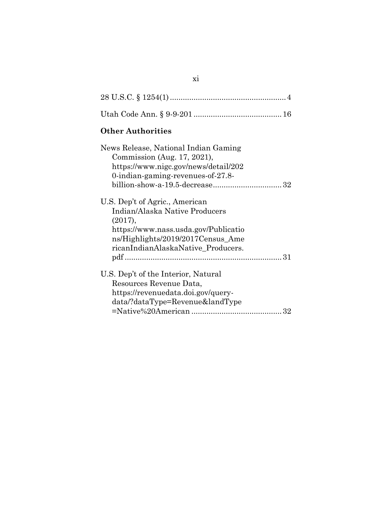# **Other Authorities**

| News Release, National Indian Gaming<br>Commission (Aug. 17, 2021),<br>https://www.nigc.gov/news/detail/202<br>0-indian-gaming-revenues-of-27.8- |  |
|--------------------------------------------------------------------------------------------------------------------------------------------------|--|
|                                                                                                                                                  |  |
| U.S. Dep't of Agric., American<br>Indian/Alaska Native Producers<br>(2017),                                                                      |  |
| https://www.nass.usda.gov/Publicatio                                                                                                             |  |
| ns/Highlights/2019/2017 Census_Ame                                                                                                               |  |
| ricanIndianAlaskaNative Producers.                                                                                                               |  |
|                                                                                                                                                  |  |
| U.S. Dep't of the Interior, Natural                                                                                                              |  |
| Resources Revenue Data,                                                                                                                          |  |
| https://revenuedata.doi.gov/query-                                                                                                               |  |
| data/?dataType=Revenue&landType                                                                                                                  |  |
|                                                                                                                                                  |  |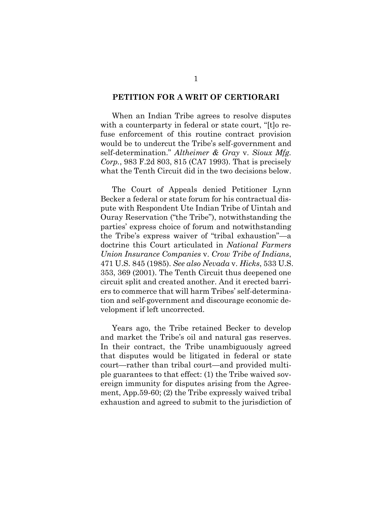#### <span id="page-12-1"></span><span id="page-12-0"></span>**PETITION FOR A WRIT OF CERTIORARI**

When an Indian Tribe agrees to resolve disputes with a counterparty in federal or state court, "[t] o refuse enforcement of this routine contract provision would be to undercut the Tribe's self-government and self-determination." *Altheimer & Gray* v. *Sioux Mfg. Corp.*, 983 F.2d 803, 815 (CA7 1993). That is precisely what the Tenth Circuit did in the two decisions below.

<span id="page-12-2"></span>The Court of Appeals denied Petitioner Lynn Becker a federal or state forum for his contractual dispute with Respondent Ute Indian Tribe of Uintah and Ouray Reservation ("the Tribe"), notwithstanding the parties' express choice of forum and notwithstanding the Tribe's express waiver of "tribal exhaustion"—a doctrine this Court articulated in *National Farmers Union Insurance Companies* v. *Crow Tribe of Indians*, 471 U.S. 845 (1985). *See also Nevada* v. *Hicks*, 533 U.S. 353, 369 (2001). The Tenth Circuit thus deepened one circuit split and created another. And it erected barriers to commerce that will harm Tribes' self-determination and self-government and discourage economic development if left uncorrected.

<span id="page-12-3"></span>Years ago, the Tribe retained Becker to develop and market the Tribe's oil and natural gas reserves. In their contract, the Tribe unambiguously agreed that disputes would be litigated in federal or state court—rather than tribal court—and provided multiple guarantees to that effect: (1) the Tribe waived sovereign immunity for disputes arising from the Agreement, App.59-60; (2) the Tribe expressly waived tribal exhaustion and agreed to submit to the jurisdiction of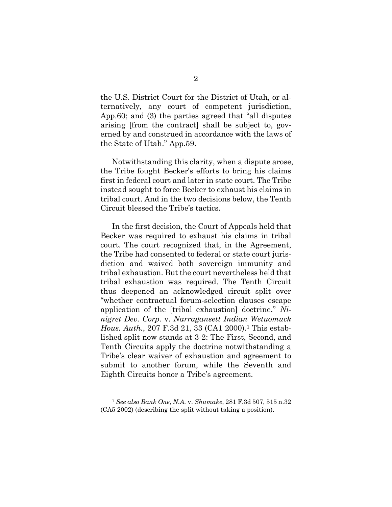the U.S. District Court for the District of Utah, or alternatively, any court of competent jurisdiction, App.60; and (3) the parties agreed that "all disputes arising [from the contract] shall be subject to, governed by and construed in accordance with the laws of the State of Utah." App.59.

Notwithstanding this clarity, when a dispute arose, the Tribe fought Becker's efforts to bring his claims first in federal court and later in state court. The Tribe instead sought to force Becker to exhaust his claims in tribal court. And in the two decisions below, the Tenth Circuit blessed the Tribe's tactics.

<span id="page-13-1"></span>In the first decision, the Court of Appeals held that Becker was required to exhaust his claims in tribal court. The court recognized that, in the Agreement, the Tribe had consented to federal or state court jurisdiction and waived both sovereign immunity and tribal exhaustion. But the court nevertheless held that tribal exhaustion was required. The Tenth Circuit thus deepened an acknowledged circuit split over "whether contractual forum-selection clauses escape application of the [tribal exhaustion] doctrine." *Ninigret Dev. Corp.* v. *Narragansett Indian Wetuomuck Hous. Auth.*, 207 F.3d 21, 33 (CA1 2000).<sup>1</sup> This established split now stands at 3-2: The First, Second, and Tenth Circuits apply the doctrine notwithstanding a Tribe's clear waiver of exhaustion and agreement to submit to another forum, while the Seventh and Eighth Circuits honor a Tribe's agreement.

<span id="page-13-0"></span><sup>1</sup> *See also Bank One, N.A.* v. *Shumake*, 281 F.3d 507, 515 n.32 (CA5 2002) (describing the split without taking a position).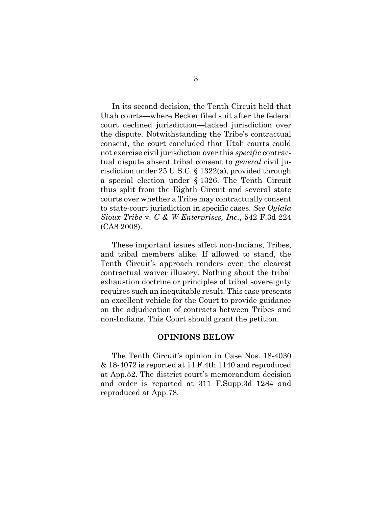<span id="page-14-2"></span>In its second decision, the Tenth Circuit held that Utah courts—where Becker filed suit after the federal court declined jurisdiction—lacked jurisdiction over the dispute. Notwithstanding the Tribe's contractual consent, the court concluded that Utah courts could not exercise civil jurisdiction over this *specific* contractual dispute absent tribal consent to *general* civil jurisdiction under 25 U.S.C. § 1322(a), provided through a special election under § 1326. The Tenth Circuit thus split from the Eighth Circuit and several state courts over whether a Tribe may contractually consent to state-court jurisdiction in specific cases. *See Oglala Sioux Tribe* v. *C & W Enterprises, Inc.*, 542 F.3d 224 (CA8 2008).

These important issues affect non-Indians, Tribes, and tribal members alike. If allowed to stand, the Tenth Circuit's approach renders even the clearest contractual waiver illusory. Nothing about the tribal exhaustion doctrine or principles of tribal sovereignty requires such an inequitable result. This case presents an excellent vehicle for the Court to provide guidance on the adjudication of contracts between Tribes and non-Indians. This Court should grant the petition.

#### <span id="page-14-1"></span>**OPINIONS BELOW**

<span id="page-14-0"></span>The Tenth Circuit's opinion in Case Nos. 18-4030 & 18-4072 is reported at 11 F.4th 1140 and reproduced at App.52. The district court's memorandum decision and order is reported at 311 F.Supp.3d 1284 and reproduced at App.78.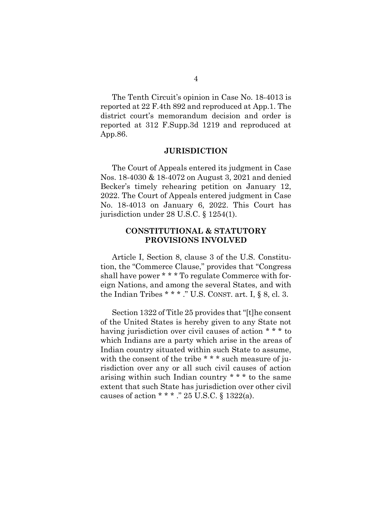The Tenth Circuit's opinion in Case No. 18-4013 is reported at 22 F.4th 892 and reproduced at App.1. The district court's memorandum decision and order is reported at 312 F.Supp.3d 1219 and reproduced at App.86.

#### **JURISDICTION**

<span id="page-15-0"></span>The Court of Appeals entered its judgment in Case Nos. 18-4030 & 18-4072 on August 3, 2021 and denied Becker's timely rehearing petition on January 12, 2022. The Court of Appeals entered judgment in Case No. 18-4013 on January 6, 2022. This Court has jurisdiction under 28 U.S.C. § 1254(1).

## <span id="page-15-3"></span><span id="page-15-1"></span>**CONSTITUTIONAL & STATUTORY PROVISIONS INVOLVED**

<span id="page-15-2"></span>Article I, Section 8, clause 3 of the U.S. Constitution, the "Commerce Clause," provides that "Congress shall have power \* \* \* To regulate Commerce with foreign Nations, and among the several States, and with the Indian Tribes  $* * *$ ." U.S. CONST. art. I, § 8, cl. 3.

Section 1322 of Title 25 provides that "[t]he consent of the United States is hereby given to any State not having jurisdiction over civil causes of action \* \* \* to which Indians are a party which arise in the areas of Indian country situated within such State to assume, with the consent of the tribe \* \* \* such measure of jurisdiction over any or all such civil causes of action arising within such Indian country \* \* \* to the same extent that such State has jurisdiction over other civil causes of action \* \* \* ." 25 U.S.C. § 1322(a).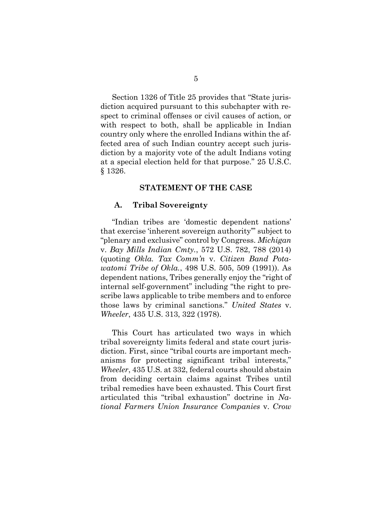Section 1326 of Title 25 provides that "State jurisdiction acquired pursuant to this subchapter with respect to criminal offenses or civil causes of action, or with respect to both, shall be applicable in Indian country only where the enrolled Indians within the affected area of such Indian country accept such jurisdiction by a majority vote of the adult Indians voting at a special election held for that purpose." 25 U.S.C. § 1326.

### <span id="page-16-2"></span>**STATEMENT OF THE CASE**

## <span id="page-16-1"></span><span id="page-16-0"></span>**A. Tribal Sovereignty**

"Indian tribes are 'domestic dependent nations' that exercise 'inherent sovereign authority'" subject to "plenary and exclusive" control by Congress. *Michigan*  v. *Bay Mills Indian Cmty.*, 572 U.S. 782, 788 (2014) (quoting *Okla. Tax Comm'n* v. *Citizen Band Potawatomi Tribe of Okla.*, 498 U.S. 505, 509 (1991)). As dependent nations, Tribes generally enjoy the "right of internal self-government" including "the right to prescribe laws applicable to tribe members and to enforce those laws by criminal sanctions." *United States* v. *Wheeler*, 435 U.S. 313, 322 (1978).

<span id="page-16-3"></span>This Court has articulated two ways in which tribal sovereignty limits federal and state court jurisdiction. First, since "tribal courts are important mechanisms for protecting significant tribal interests," *Wheeler*, 435 U.S. at 332, federal courts should abstain from deciding certain claims against Tribes until tribal remedies have been exhausted. This Court first articulated this "tribal exhaustion" doctrine in *National Farmers Union Insurance Companies* v. *Crow*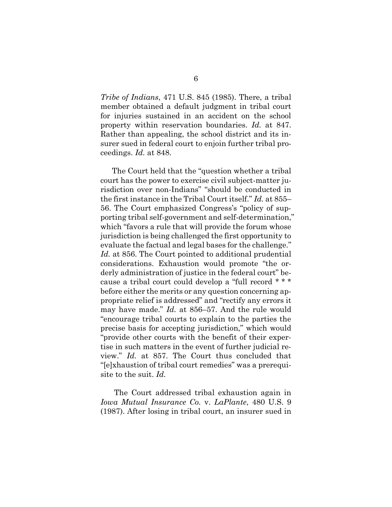*Tribe of Indians*, 471 U.S. 845 (1985). There, a tribal member obtained a default judgment in tribal court for injuries sustained in an accident on the school property within reservation boundaries. *Id.* at 847. Rather than appealing, the school district and its insurer sued in federal court to enjoin further tribal proceedings. *Id.* at 848.

The Court held that the "question whether a tribal court has the power to exercise civil subject-matter jurisdiction over non-Indians" "should be conducted in the first instance in the Tribal Court itself." *Id.* at 855– 56. The Court emphasized Congress's "policy of supporting tribal self-government and self-determination," which "favors a rule that will provide the forum whose jurisdiction is being challenged the first opportunity to evaluate the factual and legal bases for the challenge." *Id.* at 856. The Court pointed to additional prudential considerations. Exhaustion would promote "the orderly administration of justice in the federal court" because a tribal court could develop a "full record \* \* \* before either the merits or any question concerning appropriate relief is addressed" and "rectify any errors it may have made." *Id.* at 856–57. And the rule would "encourage tribal courts to explain to the parties the precise basis for accepting jurisdiction," which would "provide other courts with the benefit of their expertise in such matters in the event of further judicial review." *Id.* at 857. The Court thus concluded that "[e]xhaustion of tribal court remedies" was a prerequisite to the suit. *Id.*

<span id="page-17-0"></span>The Court addressed tribal exhaustion again in *Iowa Mutual Insurance Co.* v. *LaPlante*, 480 U.S. 9 (1987). After losing in tribal court, an insurer sued in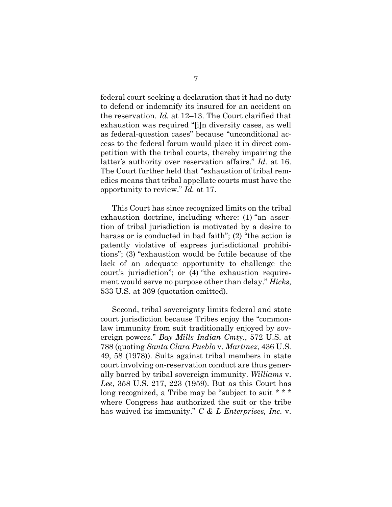federal court seeking a declaration that it had no duty to defend or indemnify its insured for an accident on the reservation. *Id.* at 12–13. The Court clarified that exhaustion was required "[i]n diversity cases, as well as federal-question cases" because "unconditional access to the federal forum would place it in direct competition with the tribal courts, thereby impairing the latter's authority over reservation affairs." *Id.* at 16. The Court further held that "exhaustion of tribal remedies means that tribal appellate courts must have the opportunity to review." *Id.* at 17.

This Court has since recognized limits on the tribal exhaustion doctrine, including where: (1) "an assertion of tribal jurisdiction is motivated by a desire to harass or is conducted in bad faith"; (2) "the action is patently violative of express jurisdictional prohibitions"; (3) "exhaustion would be futile because of the lack of an adequate opportunity to challenge the court's jurisdiction"; or (4) "the exhaustion requirement would serve no purpose other than delay." *Hicks*, 533 U.S. at 369 (quotation omitted).

<span id="page-18-2"></span><span id="page-18-1"></span><span id="page-18-0"></span>Second, tribal sovereignty limits federal and state court jurisdiction because Tribes enjoy the "commonlaw immunity from suit traditionally enjoyed by sovereign powers." *Bay Mills Indian Cmty.*, 572 U.S. at 788 (quoting *Santa Clara Pueblo* v. *Martinez*, 436 U.S. 49, 58 (1978)). Suits against tribal members in state court involving on-reservation conduct are thus generally barred by tribal sovereign immunity. *Williams* v. *Lee*, 358 U.S. 217, 223 (1959). But as this Court has long recognized, a Tribe may be "subject to suit \* \* \* where Congress has authorized the suit or the tribe has waived its immunity." *C & L Enterprises, Inc.* v.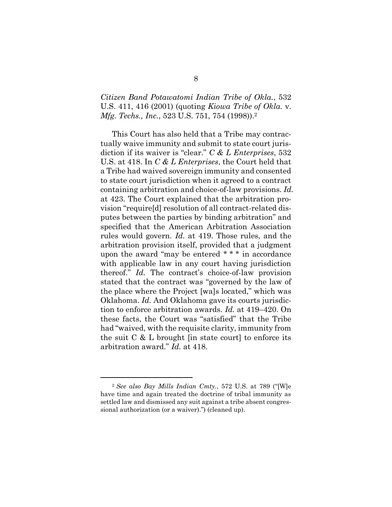*Citizen Band Potawatomi Indian Tribe of Okla.*, 532 U.S. 411, 416 (2001) (quoting *Kiowa Tribe of Okla.* v. *Mfg. Techs., Inc.*, 523 U.S. 751, 754 (1998)). 2

This Court has also held that a Tribe may contractually waive immunity and submit to state court jurisdiction if its waiver is "clear." *C & L Enterprises*, 532 U.S. at 418. In *C & L Enterprises*, the Court held that a Tribe had waived sovereign immunity and consented to state court jurisdiction when it agreed to a contract containing arbitration and choice-of-law provisions. *Id.* at 423. The Court explained that the arbitration provision "require[d] resolution of all contract-related disputes between the parties by binding arbitration" and specified that the American Arbitration Association rules would govern. *Id.* at 419. Those rules, and the arbitration provision itself, provided that a judgment upon the award "may be entered \* \* \* in accordance with applicable law in any court having jurisdiction thereof." *Id.* The contract's choice-of-law provision stated that the contract was "governed by the law of the place where the Project [wa]s located," which was Oklahoma. *Id.* And Oklahoma gave its courts jurisdiction to enforce arbitration awards. *Id.* at 419–420. On these facts, the Court was "satisfied" that the Tribe had "waived, with the requisite clarity, immunity from the suit  $C \& L$  brought [in state court] to enforce its arbitration award." *Id.* at 418.

<span id="page-19-0"></span><sup>2</sup> *See also Bay Mills Indian Cmty.*, 572 U.S. at 789 ("[W]e have time and again treated the doctrine of tribal immunity as settled law and dismissed any suit against a tribe absent congressional authorization (or a waiver).") (cleaned up).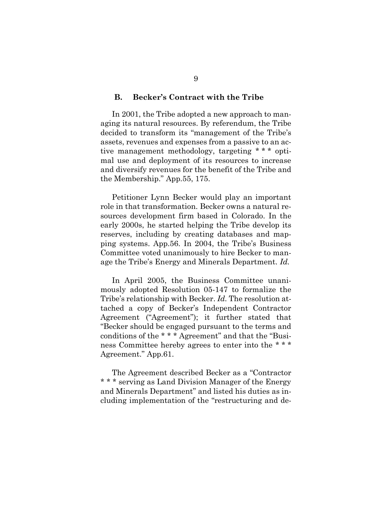#### <span id="page-20-0"></span>**B. Becker's Contract with the Tribe**

In 2001, the Tribe adopted a new approach to managing its natural resources. By referendum, the Tribe decided to transform its "management of the Tribe's assets, revenues and expenses from a passive to an active management methodology, targeting \* \* \* optimal use and deployment of its resources to increase and diversify revenues for the benefit of the Tribe and the Membership." App.55, 175.

Petitioner Lynn Becker would play an important role in that transformation. Becker owns a natural resources development firm based in Colorado. In the early 2000s, he started helping the Tribe develop its reserves, including by creating databases and mapping systems. App.56. In 2004, the Tribe's Business Committee voted unanimously to hire Becker to manage the Tribe's Energy and Minerals Department. *Id.*

In April 2005, the Business Committee unanimously adopted Resolution 05-147 to formalize the Tribe's relationship with Becker. *Id.* The resolution attached a copy of Becker's Independent Contractor Agreement ("Agreement"); it further stated that "Becker should be engaged pursuant to the terms and conditions of the \* \* \* Agreement" and that the "Business Committee hereby agrees to enter into the \* \* \* Agreement." App.61.

The Agreement described Becker as a "Contractor \* \* \* serving as Land Division Manager of the Energy and Minerals Department" and listed his duties as including implementation of the "restructuring and de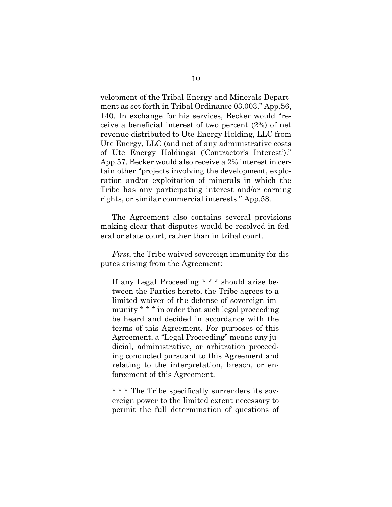velopment of the Tribal Energy and Minerals Department as set forth in Tribal Ordinance 03.003." App.56, 140. In exchange for his services, Becker would "receive a beneficial interest of two percent (2%) of net revenue distributed to Ute Energy Holding, LLC from Ute Energy, LLC (and net of any administrative costs of Ute Energy Holdings) ('Contractor's Interest')." App.57. Becker would also receive a 2% interest in certain other "projects involving the development, exploration and/or exploitation of minerals in which the Tribe has any participating interest and/or earning rights, or similar commercial interests." App.58.

The Agreement also contains several provisions making clear that disputes would be resolved in federal or state court, rather than in tribal court.

*First*, the Tribe waived sovereign immunity for disputes arising from the Agreement:

If any Legal Proceeding \* \* \* should arise between the Parties hereto, the Tribe agrees to a limited waiver of the defense of sovereign immunity \* \* \* in order that such legal proceeding be heard and decided in accordance with the terms of this Agreement. For purposes of this Agreement, a "Legal Proceeding" means any judicial, administrative, or arbitration proceeding conducted pursuant to this Agreement and relating to the interpretation, breach, or enforcement of this Agreement.

\* \* \* The Tribe specifically surrenders its sovereign power to the limited extent necessary to permit the full determination of questions of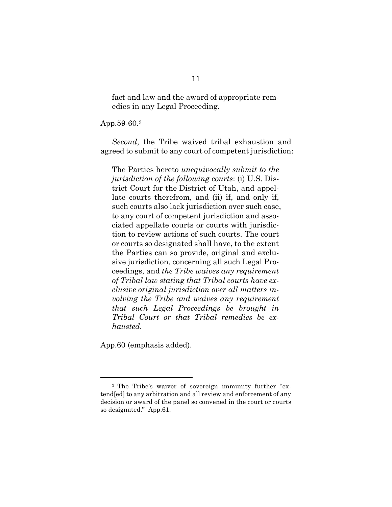fact and law and the award of appropriate remedies in any Legal Proceeding.

App.59-60.<sup>3</sup>

*Second*, the Tribe waived tribal exhaustion and agreed to submit to any court of competent jurisdiction:

The Parties hereto *unequivocally submit to the jurisdiction of the following courts*: (i) U.S. District Court for the District of Utah, and appellate courts therefrom, and (ii) if, and only if, such courts also lack jurisdiction over such case, to any court of competent jurisdiction and associated appellate courts or courts with jurisdiction to review actions of such courts. The court or courts so designated shall have, to the extent the Parties can so provide, original and exclusive jurisdiction, concerning all such Legal Proceedings, and *the Tribe waives any requirement of Tribal law stating that Tribal courts have exclusive original jurisdiction over all matters involving the Tribe and waives any requirement that such Legal Proceedings be brought in Tribal Court or that Tribal remedies be exhausted.*

App.60 (emphasis added).

<sup>3</sup> The Tribe's waiver of sovereign immunity further "extend[ed] to any arbitration and all review and enforcement of any decision or award of the panel so convened in the court or courts so designated." App.61.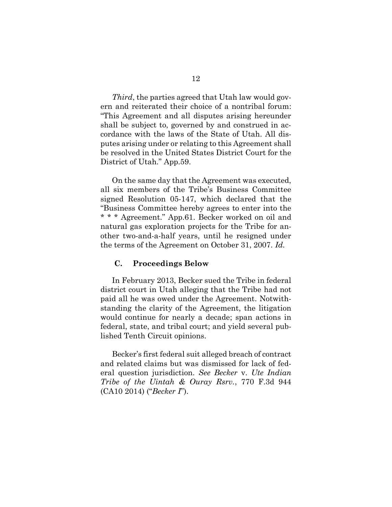*Third*, the parties agreed that Utah law would govern and reiterated their choice of a nontribal forum: "This Agreement and all disputes arising hereunder shall be subject to, governed by and construed in accordance with the laws of the State of Utah. All disputes arising under or relating to this Agreement shall be resolved in the United States District Court for the District of Utah." App.59.

On the same day that the Agreement was executed, all six members of the Tribe's Business Committee signed Resolution 05-147, which declared that the "Business Committee hereby agrees to enter into the \* \* \* Agreement." App.61. Becker worked on oil and natural gas exploration projects for the Tribe for another two-and-a-half years, until he resigned under the terms of the Agreement on October 31, 2007. *Id.*

#### <span id="page-23-0"></span>**C. Proceedings Below**

In February 2013, Becker sued the Tribe in federal district court in Utah alleging that the Tribe had not paid all he was owed under the Agreement. Notwithstanding the clarity of the Agreement, the litigation would continue for nearly a decade; span actions in federal, state, and tribal court; and yield several published Tenth Circuit opinions.

<span id="page-23-1"></span>Becker's first federal suit alleged breach of contract and related claims but was dismissed for lack of federal question jurisdiction. *See Becker* v. *Ute Indian Tribe of the Uintah & Ouray Rsrv.*, 770 F.3d 944 (CA10 2014) ("*Becker I*").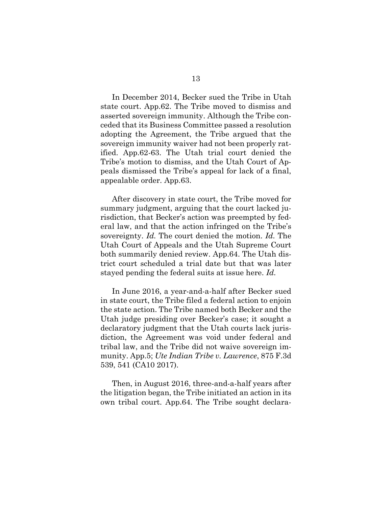In December 2014, Becker sued the Tribe in Utah state court. App.62. The Tribe moved to dismiss and asserted sovereign immunity. Although the Tribe conceded that its Business Committee passed a resolution adopting the Agreement, the Tribe argued that the sovereign immunity waiver had not been properly ratified. App.62-63. The Utah trial court denied the Tribe's motion to dismiss, and the Utah Court of Appeals dismissed the Tribe's appeal for lack of a final, appealable order. App.63.

After discovery in state court, the Tribe moved for summary judgment, arguing that the court lacked jurisdiction, that Becker's action was preempted by federal law, and that the action infringed on the Tribe's sovereignty. *Id.* The court denied the motion. *Id.* The Utah Court of Appeals and the Utah Supreme Court both summarily denied review. App.64. The Utah district court scheduled a trial date but that was later stayed pending the federal suits at issue here. *Id.*

In June 2016, a year-and-a-half after Becker sued in state court, the Tribe filed a federal action to enjoin the state action. The Tribe named both Becker and the Utah judge presiding over Becker's case; it sought a declaratory judgment that the Utah courts lack jurisdiction, the Agreement was void under federal and tribal law, and the Tribe did not waive sovereign immunity. App.5; *Ute Indian Tribe v. Lawrence*, 875 F.3d 539, 541 (CA10 2017).

<span id="page-24-0"></span>Then, in August 2016, three-and-a-half years after the litigation began, the Tribe initiated an action in its own tribal court. App.64. The Tribe sought declara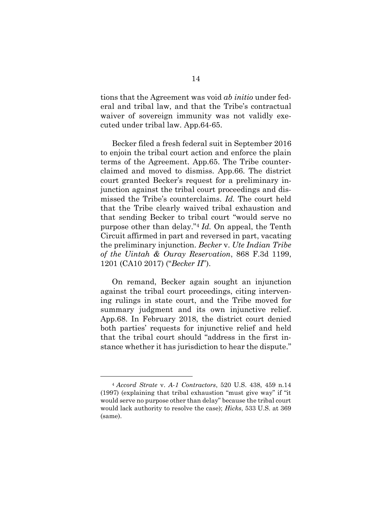tions that the Agreement was void *ab initio* under federal and tribal law, and that the Tribe's contractual waiver of sovereign immunity was not validly executed under tribal law. App.64-65.

Becker filed a fresh federal suit in September 2016 to enjoin the tribal court action and enforce the plain terms of the Agreement. App.65. The Tribe counterclaimed and moved to dismiss. App.66. The district court granted Becker's request for a preliminary injunction against the tribal court proceedings and dismissed the Tribe's counterclaims. *Id.* The court held that the Tribe clearly waived tribal exhaustion and that sending Becker to tribal court "would serve no purpose other than delay."<sup>4</sup> *Id.* On appeal, the Tenth Circuit affirmed in part and reversed in part, vacating the preliminary injunction. *Becker* v. *Ute Indian Tribe of the Uintah & Ouray Reservation*, 868 F.3d 1199, 1201 (CA10 2017) ("*Becker II*").

<span id="page-25-0"></span>On remand, Becker again sought an injunction against the tribal court proceedings, citing intervening rulings in state court, and the Tribe moved for summary judgment and its own injunctive relief. App.68. In February 2018, the district court denied both parties' requests for injunctive relief and held that the tribal court should "address in the first instance whether it has jurisdiction to hear the dispute."

<span id="page-25-1"></span><sup>4</sup> *Accord Strate* v. *A-1 Contractors*, 520 U.S. 438, 459 n.14 (1997) (explaining that tribal exhaustion "must give way" if "it would serve no purpose other than delay" because the tribal court would lack authority to resolve the case); *Hicks*, 533 U.S. at 369 (same).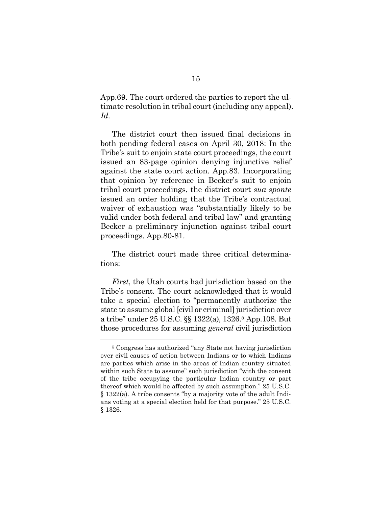App.69. The court ordered the parties to report the ultimate resolution in tribal court (including any appeal). *Id.*

The district court then issued final decisions in both pending federal cases on April 30, 2018: In the Tribe's suit to enjoin state court proceedings, the court issued an 83-page opinion denying injunctive relief against the state court action. App.83. Incorporating that opinion by reference in Becker's suit to enjoin tribal court proceedings, the district court *sua sponte* issued an order holding that the Tribe's contractual waiver of exhaustion was "substantially likely to be valid under both federal and tribal law" and granting Becker a preliminary injunction against tribal court proceedings. App.80-81.

The district court made three critical determinations:

*First*, the Utah courts had jurisdiction based on the Tribe's consent. The court acknowledged that it would take a special election to "permanently authorize the state to assume global [civil or criminal] jurisdiction over a tribe" under 25 U.S.C. §§ 1322(a), 1326. <sup>5</sup> App.108. But those procedures for assuming *general* civil jurisdiction

<sup>5</sup> Congress has authorized "any State not having jurisdiction over civil causes of action between Indians or to which Indians are parties which arise in the areas of Indian country situated within such State to assume" such jurisdiction "with the consent of the tribe occupying the particular Indian country or part thereof which would be affected by such assumption." 25 U.S.C. § 1322(a). A tribe consents "by a majority vote of the adult Indians voting at a special election held for that purpose." 25 U.S.C. § 1326.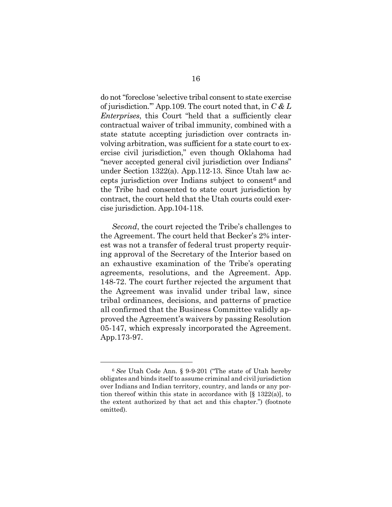do not"foreclose 'selective tribal consent to state exercise of jurisdiction.'" App.109. The court noted that, in *C & L Enterprises*, this Court "held that a sufficiently clear contractual waiver of tribal immunity, combined with a state statute accepting jurisdiction over contracts involving arbitration, was sufficient for a state court to exercise civil jurisdiction," even though Oklahoma had "never accepted general civil jurisdiction over Indians" under Section 1322(a). App.112-13. Since Utah law accepts jurisdiction over Indians subject to consent<sup>6</sup> and the Tribe had consented to state court jurisdiction by contract, the court held that the Utah courts could exercise jurisdiction. App.104-118.

*Second*, the court rejected the Tribe's challenges to the Agreement. The court held that Becker's 2% interest was not a transfer of federal trust property requiring approval of the Secretary of the Interior based on an exhaustive examination of the Tribe's operating agreements, resolutions, and the Agreement. App. 148-72. The court further rejected the argument that the Agreement was invalid under tribal law, since tribal ordinances, decisions, and patterns of practice all confirmed that the Business Committee validly approved the Agreement's waivers by passing Resolution 05-147, which expressly incorporated the Agreement. App.173-97.

<span id="page-27-0"></span><sup>6</sup> *See* Utah Code Ann. § 9-9-201 ("The state of Utah hereby obligates and binds itself to assume criminal and civil jurisdiction over Indians and Indian territory, country, and lands or any portion thereof within this state in accordance with [§ 1322(a)], to the extent authorized by that act and this chapter.") (footnote omitted).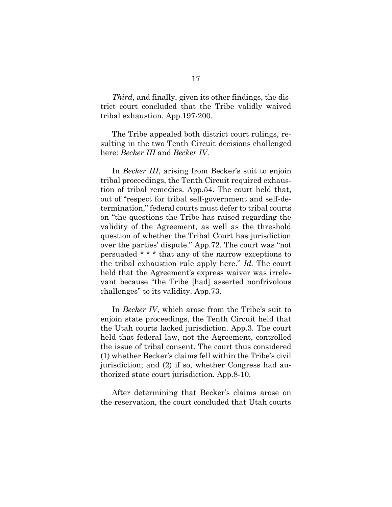*Third*, and finally, given its other findings, the district court concluded that the Tribe validly waived tribal exhaustion. App.197-200.

The Tribe appealed both district court rulings, resulting in the two Tenth Circuit decisions challenged here: *Becker III* and *Becker IV*.

In *Becker III*, arising from Becker's suit to enjoin tribal proceedings, the Tenth Circuit required exhaustion of tribal remedies. App.54. The court held that, out of "respect for tribal self-government and self-determination," federal courts must defer to tribal courts on "the questions the Tribe has raised regarding the validity of the Agreement, as well as the threshold question of whether the Tribal Court has jurisdiction over the parties' dispute." App.72. The court was "not persuaded \* \* \* that any of the narrow exceptions to the tribal exhaustion rule apply here." *Id.* The court held that the Agreement's express waiver was irrelevant because "the Tribe [had] asserted nonfrivolous challenges" to its validity. App.73.

In *Becker IV*, which arose from the Tribe's suit to enjoin state proceedings, the Tenth Circuit held that the Utah courts lacked jurisdiction. App.3. The court held that federal law, not the Agreement, controlled the issue of tribal consent. The court thus considered (1) whether Becker's claims fell within the Tribe's civil jurisdiction; and (2) if so, whether Congress had authorized state court jurisdiction. App.8-10.

After determining that Becker's claims arose on the reservation, the court concluded that Utah courts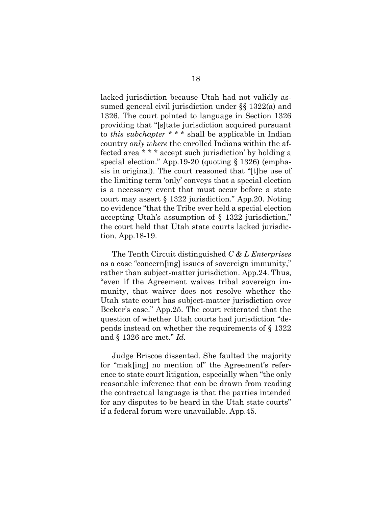lacked jurisdiction because Utah had not validly assumed general civil jurisdiction under §§ 1322(a) and 1326. The court pointed to language in Section 1326 providing that "[s]tate jurisdiction acquired pursuant to *this subchapter* \* \* \* shall be applicable in Indian country *only where* the enrolled Indians within the affected area \* \* \* accept such jurisdiction' by holding a special election." App.19-20 (quoting § 1326) (emphasis in original). The court reasoned that "[t]he use of the limiting term 'only' conveys that a special election is a necessary event that must occur before a state court may assert § 1322 jurisdiction." App.20. Noting no evidence "that the Tribe ever held a special election accepting Utah's assumption of § 1322 jurisdiction," the court held that Utah state courts lacked jurisdiction. App.18-19.

The Tenth Circuit distinguished *C & L Enterprises* as a case "concern[ing] issues of sovereign immunity," rather than subject-matter jurisdiction. App.24. Thus, "even if the Agreement waives tribal sovereign immunity, that waiver does not resolve whether the Utah state court has subject-matter jurisdiction over Becker's case." App.25. The court reiterated that the question of whether Utah courts had jurisdiction "depends instead on whether the requirements of § 1322 and § 1326 are met." *Id.*

Judge Briscoe dissented. She faulted the majority for "mak[ing] no mention of" the Agreement's reference to state court litigation, especially when "the only reasonable inference that can be drawn from reading the contractual language is that the parties intended for any disputes to be heard in the Utah state courts" if a federal forum were unavailable. App.45.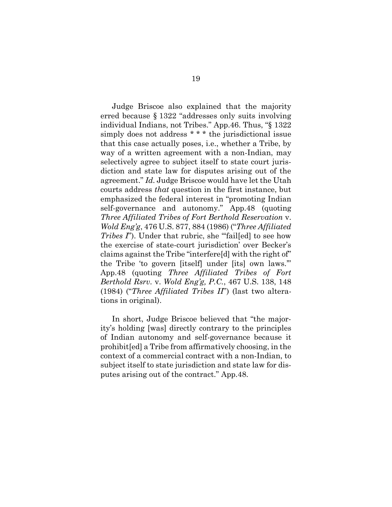Judge Briscoe also explained that the majority erred because § 1322 "addresses only suits involving individual Indians, not Tribes." App.46. Thus, "§ 1322 simply does not address \* \* \* the jurisdictional issue that this case actually poses, i.e., whether a Tribe, by way of a written agreement with a non-Indian, may selectively agree to subject itself to state court jurisdiction and state law for disputes arising out of the agreement." *Id.* Judge Briscoe would have let the Utah courts address *that* question in the first instance, but emphasized the federal interest in "promoting Indian self-governance and autonomy." App.48 (quoting *Three Affiliated Tribes of Fort Berthold Reservation* v. *Wold Eng'g*, 476 U.S. 877, 884 (1986) ("*Three Affiliated Tribes I*"). Under that rubric, she "'fail[ed] to see how the exercise of state-court jurisdiction' over Becker's claims against the Tribe "interfere[d] with the right of" the Tribe 'to govern [itself] under [its] own laws.'" App.48 (quoting *Three Affiliated Tribes of Fort Berthold Rsrv.* v. *Wold Eng'g, P.C.*, 467 U.S. 138, 148 (1984) ("*Three Affiliated Tribes II*") (last two alterations in original).

In short, Judge Briscoe believed that "the majority's holding [was] directly contrary to the principles of Indian autonomy and self-governance because it prohibit[ed] a Tribe from affirmatively choosing, in the context of a commercial contract with a non-Indian, to subject itself to state jurisdiction and state law for disputes arising out of the contract." App.48.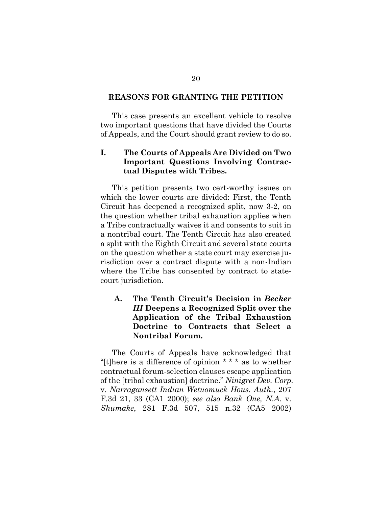#### <span id="page-31-0"></span>**REASONS FOR GRANTING THE PETITION**

This case presents an excellent vehicle to resolve two important questions that have divided the Courts of Appeals, and the Court should grant review to do so.

## <span id="page-31-1"></span>**I. The Courts of Appeals Are Divided on Two Important Questions Involving Contractual Disputes with Tribes.**

This petition presents two cert-worthy issues on which the lower courts are divided: First, the Tenth Circuit has deepened a recognized split, now 3-2, on the question whether tribal exhaustion applies when a Tribe contractually waives it and consents to suit in a nontribal court. The Tenth Circuit has also created a split with the Eighth Circuit and several state courts on the question whether a state court may exercise jurisdiction over a contract dispute with a non-Indian where the Tribe has consented by contract to statecourt jurisdiction.

## <span id="page-31-2"></span>**A. The Tenth Circuit's Decision in** *Becker III* **Deepens a Recognized Split over the Application of the Tribal Exhaustion Doctrine to Contracts that Select a Nontribal Forum.**

<span id="page-31-4"></span><span id="page-31-3"></span>The Courts of Appeals have acknowledged that "[t]here is a difference of opinion \* \* \* as to whether contractual forum-selection clauses escape application of the [tribal exhaustion] doctrine." *Ninigret Dev. Corp.*  v. *Narragansett Indian Wetuomuck Hous. Auth.*, 207 F.3d 21, 33 (CA1 2000); *see also Bank One, N.A.* v. *Shumake*, 281 F.3d 507, 515 n.32 (CA5 2002)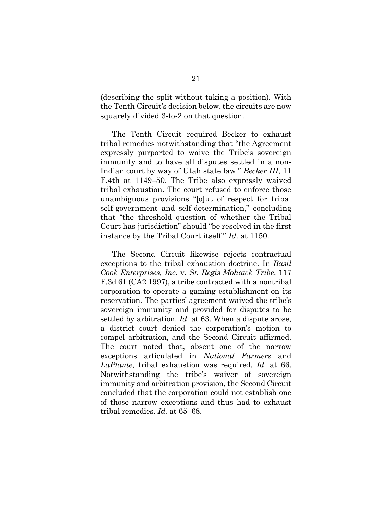(describing the split without taking a position). With the Tenth Circuit's decision below, the circuits are now squarely divided 3-to-2 on that question.

The Tenth Circuit required Becker to exhaust tribal remedies notwithstanding that "the Agreement expressly purported to waive the Tribe's sovereign immunity and to have all disputes settled in a non-Indian court by way of Utah state law." *Becker III*, 11 F.4th at 1149–50. The Tribe also expressly waived tribal exhaustion. The court refused to enforce those unambiguous provisions "[o]ut of respect for tribal self-government and self-determination," concluding that "the threshold question of whether the Tribal Court has jurisdiction" should "be resolved in the first instance by the Tribal Court itself." *Id.* at 1150.

<span id="page-32-0"></span>The Second Circuit likewise rejects contractual exceptions to the tribal exhaustion doctrine. In *Basil Cook Enterprises, Inc.* v. *St. Regis Mohawk Tribe*, 117 F.3d 61 (CA2 1997), a tribe contracted with a nontribal corporation to operate a gaming establishment on its reservation. The parties' agreement waived the tribe's sovereign immunity and provided for disputes to be settled by arbitration. *Id.* at 63. When a dispute arose, a district court denied the corporation's motion to compel arbitration, and the Second Circuit affirmed. The court noted that, absent one of the narrow exceptions articulated in *National Farmers* and *LaPlante*, tribal exhaustion was required. *Id.* at 66. Notwithstanding the tribe's waiver of sovereign immunity and arbitration provision, the Second Circuit concluded that the corporation could not establish one of those narrow exceptions and thus had to exhaust tribal remedies. *Id.* at 65–68.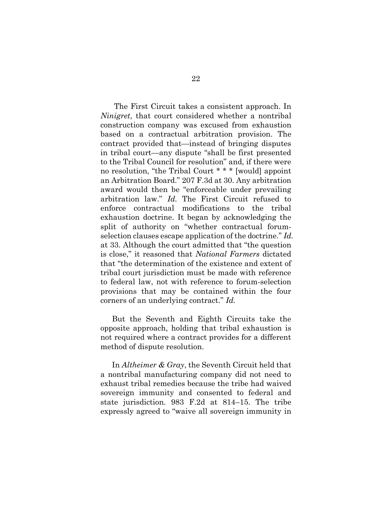<span id="page-33-0"></span>The First Circuit takes a consistent approach. In *Ninigret*, that court considered whether a nontribal construction company was excused from exhaustion based on a contractual arbitration provision. The contract provided that—instead of bringing disputes in tribal court—any dispute "shall be first presented to the Tribal Council for resolution" and, if there were no resolution, "the Tribal Court \* \* \* [would] appoint an Arbitration Board." 207 F.3d at 30. Any arbitration award would then be "enforceable under prevailing arbitration law." *Id.* The First Circuit refused to enforce contractual modifications to the tribal exhaustion doctrine. It began by acknowledging the split of authority on "whether contractual forumselection clauses escape application of the doctrine." *Id.* at 33. Although the court admitted that "the question is close," it reasoned that *National Farmers* dictated that "the determination of the existence and extent of tribal court jurisdiction must be made with reference to federal law, not with reference to forum-selection provisions that may be contained within the four corners of an underlying contract." *Id.*

But the Seventh and Eighth Circuits take the opposite approach, holding that tribal exhaustion is not required where a contract provides for a different method of dispute resolution.

In *Altheimer & Gray*, the Seventh Circuit held that a nontribal manufacturing company did not need to exhaust tribal remedies because the tribe had waived sovereign immunity and consented to federal and state jurisdiction. 983 F.2d at 814–15. The tribe expressly agreed to "waive all sovereign immunity in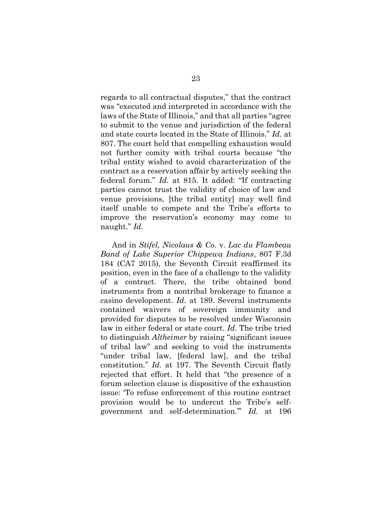regards to all contractual disputes," that the contract was "executed and interpreted in accordance with the laws of the State of Illinois," and that all parties "agree to submit to the venue and jurisdiction of the federal and state courts located in the State of Illinois." *Id.* at 807. The court held that compelling exhaustion would not further comity with tribal courts because "the tribal entity wished to avoid characterization of the contract as a reservation affair by actively seeking the federal forum." *Id.* at 815. It added: "If contracting parties cannot trust the validity of choice of law and venue provisions, [the tribal entity] may well find itself unable to compete and the Tribe's efforts to improve the reservation's economy may come to naught." *Id.*

<span id="page-34-0"></span>And in *Stifel, Nicolaus & Co.* v. *Lac du Flambeau Band of Lake Superior Chippewa Indians*, 807 F.3d 184 (CA7 2015), the Seventh Circuit reaffirmed its position, even in the face of a challenge to the validity of a contract. There, the tribe obtained bond instruments from a nontribal brokerage to finance a casino development. *Id.* at 189. Several instruments contained waivers of sovereign immunity and provided for disputes to be resolved under Wisconsin law in either federal or state court. *Id.* The tribe tried to distinguish *Altheimer* by raising "significant issues of tribal law" and seeking to void the instruments "under tribal law, [federal law], and the tribal constitution." *Id.* at 197. The Seventh Circuit flatly rejected that effort. It held that "the presence of a forum selection clause is dispositive of the exhaustion issue: 'To refuse enforcement of this routine contract provision would be to undercut the Tribe's selfgovernment and self-determination.'" *Id.* at 196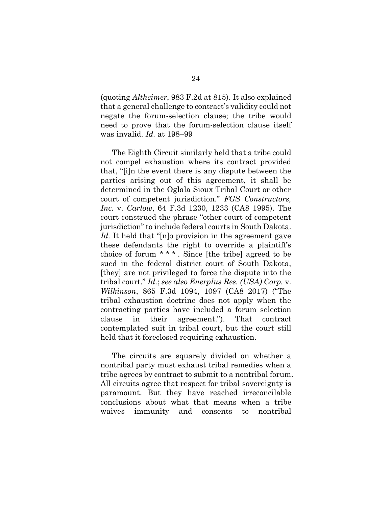(quoting *Altheimer*, 983 F.2d at 815). It also explained that a general challenge to contract's validity could not negate the forum-selection clause; the tribe would need to prove that the forum-selection clause itself was invalid. *Id.* at 198–99

<span id="page-35-1"></span>The Eighth Circuit similarly held that a tribe could not compel exhaustion where its contract provided that, "[i]n the event there is any dispute between the parties arising out of this agreement, it shall be determined in the Oglala Sioux Tribal Court or other court of competent jurisdiction." *FGS Constructors, Inc.* v. *Carlow*, 64 F.3d 1230, 1233 (CA8 1995). The court construed the phrase "other court of competent jurisdiction" to include federal courts in South Dakota. Id. It held that "[n]o provision in the agreement gave these defendants the right to override a plaintiff's choice of forum \* \* \* . Since [the tribe] agreed to be sued in the federal district court of South Dakota, [they] are not privileged to force the dispute into the tribal court." *Id.*; *see also Enerplus Res. (USA) Corp.* v. *Wilkinson*, 865 F.3d 1094, 1097 (CA8 2017) ("The tribal exhaustion doctrine does not apply when the contracting parties have included a forum selection clause in their agreement."). That contract contemplated suit in tribal court, but the court still held that it foreclosed requiring exhaustion.

<span id="page-35-0"></span>The circuits are squarely divided on whether a nontribal party must exhaust tribal remedies when a tribe agrees by contract to submit to a nontribal forum. All circuits agree that respect for tribal sovereignty is paramount. But they have reached irreconcilable conclusions about what that means when a tribe waives immunity and consents to nontribal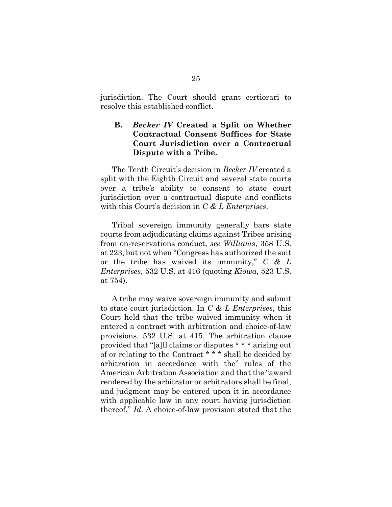jurisdiction. The Court should grant certiorari to resolve this established conflict.

## <span id="page-36-0"></span>**B.** *Becker IV* **Created a Split on Whether Contractual Consent Suffices for State Court Jurisdiction over a Contractual Dispute with a Tribe.**

The Tenth Circuit's decision in *Becker IV* created a split with the Eighth Circuit and several state courts over a tribe's ability to consent to state court jurisdiction over a contractual dispute and conflicts with this Court's decision in *C & L Enterprises*.

<span id="page-36-1"></span>Tribal sovereign immunity generally bars state courts from adjudicating claims against Tribes arising from on-reservations conduct, *see Williams*, 358 U.S. at 223, but not when "Congress has authorized the suit or the tribe has waived its immunity," *C & L Enterprises*, 532 U.S. at 416 (quoting *Kiowa*, 523 U.S. at 754).

A tribe may waive sovereign immunity and submit to state court jurisdiction. In *C & L Enterprises*, this Court held that the tribe waived immunity when it entered a contract with arbitration and choice-of-law provisions. 532 U.S. at 415. The arbitration clause provided that "[a]ll claims or disputes \* \* \* arising out of or relating to the Contract \* \* \* shall be decided by arbitration in accordance with the" rules of the American Arbitration Association and that the "award rendered by the arbitrator or arbitrators shall be final, and judgment may be entered upon it in accordance with applicable law in any court having jurisdiction thereof." *Id.* A choice-of-law provision stated that the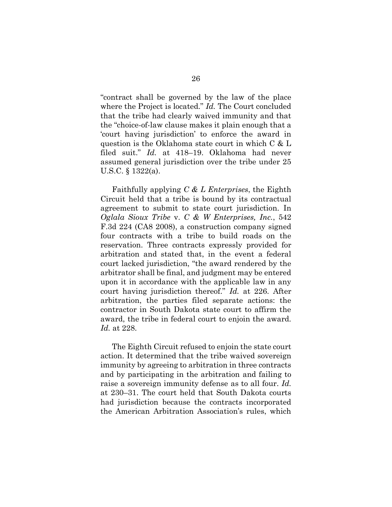"contract shall be governed by the law of the place where the Project is located." *Id.* The Court concluded that the tribe had clearly waived immunity and that the "choice-of-law clause makes it plain enough that a 'court having jurisdiction' to enforce the award in question is the Oklahoma state court in which C & L filed suit." *Id.* at 418–19. Oklahoma had never assumed general jurisdiction over the tribe under 25 U.S.C. § 1322(a).

<span id="page-37-0"></span>Faithfully applying *C & L Enterprises*, the Eighth Circuit held that a tribe is bound by its contractual agreement to submit to state court jurisdiction. In *Oglala Sioux Tribe* v. *C & W Enterprises, Inc.*, 542 F.3d 224 (CA8 2008), a construction company signed four contracts with a tribe to build roads on the reservation. Three contracts expressly provided for arbitration and stated that, in the event a federal court lacked jurisdiction, "the award rendered by the arbitrator shall be final, and judgment may be entered upon it in accordance with the applicable law in any court having jurisdiction thereof." *Id.* at 226. After arbitration, the parties filed separate actions: the contractor in South Dakota state court to affirm the award, the tribe in federal court to enjoin the award. *Id.* at 228.

The Eighth Circuit refused to enjoin the state court action. It determined that the tribe waived sovereign immunity by agreeing to arbitration in three contracts and by participating in the arbitration and failing to raise a sovereign immunity defense as to all four. *Id.* at 230–31. The court held that South Dakota courts had jurisdiction because the contracts incorporated the American Arbitration Association's rules, which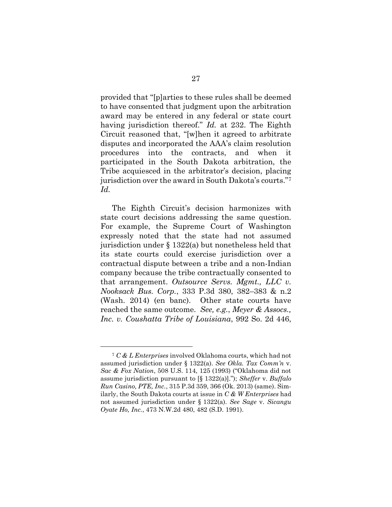<span id="page-38-1"></span>provided that "[p]arties to these rules shall be deemed to have consented that judgment upon the arbitration award may be entered in any federal or state court having jurisdiction thereof." *Id.* at 232. The Eighth Circuit reasoned that, "[w]hen it agreed to arbitrate disputes and incorporated the AAA's claim resolution procedures into the contracts, and when it participated in the South Dakota arbitration, the Tribe acquiesced in the arbitrator's decision, placing jurisdiction over the award in South Dakota's courts."<sup>7</sup> *Id.*

<span id="page-38-3"></span>The Eighth Circuit's decision harmonizes with state court decisions addressing the same question. For example, the Supreme Court of Washington expressly noted that the state had not assumed jurisdiction under § 1322(a) but nonetheless held that its state courts could exercise jurisdiction over a contractual dispute between a tribe and a non-Indian company because the tribe contractually consented to that arrangement. *Outsource Servs. Mgmt., LLC v. Nooksack Bus. Corp.*, 333 P.3d 380, 382–383 & n.2 (Wash. 2014) (en banc). Other state courts have reached the same outcome. *See, e.g.*, *Meyer & Assocs., Inc. v. Coushatta Tribe of Louisiana*, 992 So. 2d 446,

<span id="page-38-5"></span><span id="page-38-4"></span><span id="page-38-2"></span><span id="page-38-0"></span><sup>7</sup> *C & L Enterprises* involved Oklahoma courts, which had not assumed jurisdiction under § 1322(a). *See Okla. Tax Comm'n* v. *Sac & Fox Nation*, 508 U.S. 114, 125 (1993) ("Oklahoma did not assume jurisdiction pursuant to [§ 1322(a)]."); *Sheffer* v. *Buffalo Run Casino, PTE, Inc.*, 315 P.3d 359, 366 (Ok. 2013) (same). Similarly, the South Dakota courts at issue in *C & W Enterprises* had not assumed jurisdiction under § 1322(a). *See Sage* v. *Sicangu Oyate Ho, Inc.*, 473 N.W.2d 480, 482 (S.D. 1991).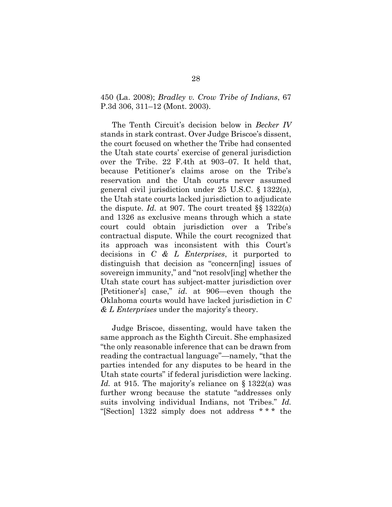<span id="page-39-0"></span>450 (La. 2008); *Bradley v. Crow Tribe of Indians*, 67 P.3d 306, 311–12 (Mont. 2003).

The Tenth Circuit's decision below in *Becker IV*  stands in stark contrast. Over Judge Briscoe's dissent, the court focused on whether the Tribe had consented the Utah state courts' exercise of general jurisdiction over the Tribe. 22 F.4th at 903–07. It held that, because Petitioner's claims arose on the Tribe's reservation and the Utah courts never assumed general civil jurisdiction under 25 U.S.C. § 1322(a), the Utah state courts lacked jurisdiction to adjudicate the dispute. *Id.* at 907. The court treated §§ 1322(a) and 1326 as exclusive means through which a state court could obtain jurisdiction over a Tribe's contractual dispute. While the court recognized that its approach was inconsistent with this Court's decisions in *C & L Enterprises*, it purported to distinguish that decision as "concern[ing] issues of sovereign immunity," and "not resolv[ing] whether the Utah state court has subject-matter jurisdiction over [Petitioner's] case," *id.* at 906—even though the Oklahoma courts would have lacked jurisdiction in *C & L Enterprises* under the majority's theory.

Judge Briscoe, dissenting, would have taken the same approach as the Eighth Circuit. She emphasized "the only reasonable inference that can be drawn from reading the contractual language"—namely, "that the parties intended for any disputes to be heard in the Utah state courts" if federal jurisdiction were lacking. *Id.* at 915. The majority's reliance on § 1322(a) was further wrong because the statute "addresses only suits involving individual Indians, not Tribes." *Id.* "[Section] 1322 simply does not address \* \* \* the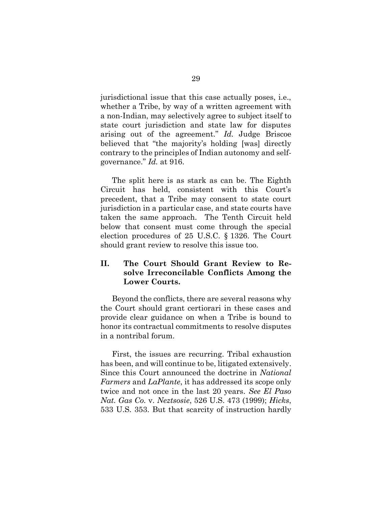jurisdictional issue that this case actually poses, i.e., whether a Tribe, by way of a written agreement with a non-Indian, may selectively agree to subject itself to state court jurisdiction and state law for disputes arising out of the agreement." *Id.* Judge Briscoe believed that "the majority's holding [was] directly contrary to the principles of Indian autonomy and selfgovernance." *Id.* at 916.

The split here is as stark as can be. The Eighth Circuit has held, consistent with this Court's precedent, that a Tribe may consent to state court jurisdiction in a particular case, and state courts have taken the same approach. The Tenth Circuit held below that consent must come through the special election procedures of 25 U.S.C. § 1326. The Court should grant review to resolve this issue too.

## <span id="page-40-0"></span>**II. The Court Should Grant Review to Resolve Irreconcilable Conflicts Among the Lower Courts.**

Beyond the conflicts, there are several reasons why the Court should grant certiorari in these cases and provide clear guidance on when a Tribe is bound to honor its contractual commitments to resolve disputes in a nontribal forum.

<span id="page-40-1"></span>First, the issues are recurring. Tribal exhaustion has been, and will continue to be, litigated extensively. Since this Court announced the doctrine in *National Farmers* and *LaPlante*, it has addressed its scope only twice and not once in the last 20 years. *See El Paso Nat. Gas Co.* v. *Neztsosie*, 526 U.S. 473 (1999); *Hicks*, 533 U.S. 353. But that scarcity of instruction hardly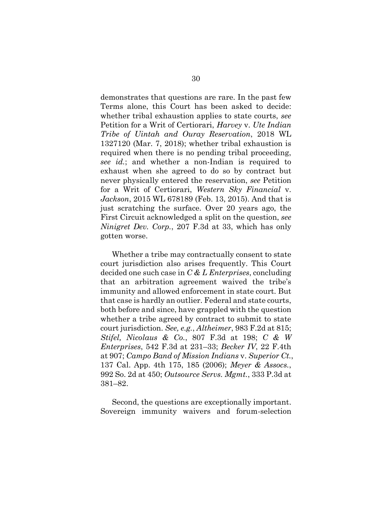<span id="page-41-1"></span>demonstrates that questions are rare. In the past few Terms alone, this Court has been asked to decide: whether tribal exhaustion applies to state courts, *see*  Petition for a Writ of Certiorari, *Harvey* v. *Ute Indian Tribe of Uintah and Ouray Reservation*, 2018 WL 1327120 (Mar. 7, 2018); whether tribal exhaustion is required when there is no pending tribal proceeding, *see id.*; and whether a non-Indian is required to exhaust when she agreed to do so by contract but never physically entered the reservation, *see* Petition for a Writ of Certiorari, *Western Sky Financial* v. *Jackson*, 2015 WL 678189 (Feb. 13, 2015). And that is just scratching the surface. Over 20 years ago, the First Circuit acknowledged a split on the question, *see Ninigret Dev. Corp.*, 207 F.3d at 33, which has only gotten worse.

<span id="page-41-7"></span><span id="page-41-3"></span>Whether a tribe may contractually consent to state court jurisdiction also arises frequently. This Court decided one such case in *C & L Enterprises*, concluding that an arbitration agreement waived the tribe's immunity and allowed enforcement in state court. But that case is hardly an outlier. Federal and state courts, both before and since, have grappled with the question whether a tribe agreed by contract to submit to state court jurisdiction. *See, e.g.*, *Altheimer*, 983 F.2d at 815; *Stifel, Nicolaus & Co.*, 807 F.3d at 198; *C & W Enterprises*, 542 F.3d at 231–33; *Becker IV*, 22 F.4th at 907; *Campo Band of Mission Indians* v. *Superior Ct.*, 137 Cal. App. 4th 175, 185 (2006); *Meyer & Assocs.*, 992 So. 2d at 450; *Outsource Servs. Mgmt.*, 333 P.3d at 381–82.

<span id="page-41-6"></span><span id="page-41-5"></span><span id="page-41-4"></span><span id="page-41-2"></span><span id="page-41-0"></span>Second, the questions are exceptionally important. Sovereign immunity waivers and forum-selection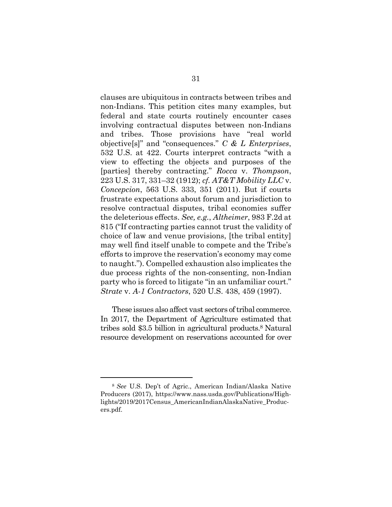<span id="page-42-1"></span><span id="page-42-0"></span>clauses are ubiquitous in contracts between tribes and non-Indians. This petition cites many examples, but federal and state courts routinely encounter cases involving contractual disputes between non-Indians and tribes. Those provisions have "real world objective[s]" and "consequences." *C & L Enterprises*, 532 U.S. at 422. Courts interpret contracts "with a view to effecting the objects and purposes of the [parties] thereby contracting." *Rocca* v. *Thompson*, 223 U.S. 317, 331–32 (1912); *cf. AT&T Mobility LLC* v. *Concepcion*, 563 U.S. 333, 351 (2011). But if courts frustrate expectations about forum and jurisdiction to resolve contractual disputes, tribal economies suffer the deleterious effects. *See, e.g.*, *Altheimer*, 983 F.2d at 815 ("If contracting parties cannot trust the validity of choice of law and venue provisions, [the tribal entity] may well find itself unable to compete and the Tribe's efforts to improve the reservation's economy may come to naught."). Compelled exhaustion also implicates the due process rights of the non-consenting, non-Indian party who is forced to litigate "in an unfamiliar court." *Strate* v. *A-1 Contractors*, 520 U.S. 438, 459 (1997).

<span id="page-42-2"></span>These issues also affect vast sectors of tribal commerce. In 2017, the Department of Agriculture estimated that tribes sold \$3.5 billion in agricultural products. <sup>8</sup> Natural resource development on reservations accounted for over

<span id="page-42-3"></span><sup>8</sup> *See* U.S. Dep't of Agric., American Indian/Alaska Native Producers (2017), https://www.nass.usda.gov/Publications/Highlights/2019/2017Census\_AmericanIndianAlaskaNative\_Producers.pdf.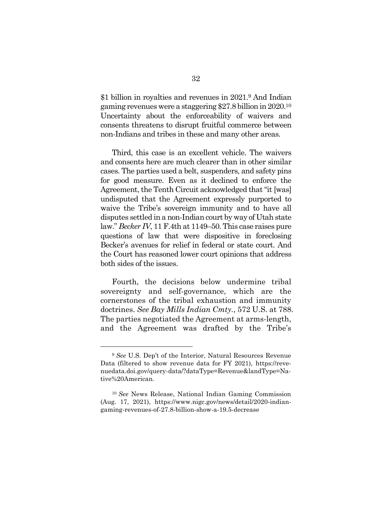\$1 billion in royalties and revenues in 2021.<sup>9</sup> And Indian gaming revenues were a staggering \$27.8 billion in 2020.<sup>10</sup> Uncertainty about the enforceability of waivers and consents threatens to disrupt fruitful commerce between non-Indians and tribes in these and many other areas.

Third, this case is an excellent vehicle. The waivers and consents here are much clearer than in other similar cases. The parties used a belt, suspenders, and safety pins for good measure. Even as it declined to enforce the Agreement, the Tenth Circuit acknowledged that "it [was] undisputed that the Agreement expressly purported to waive the Tribe's sovereign immunity and to have all disputes settled in a non-Indian court by way of Utah state law." *Becker IV*, 11 F.4th at 1149–50. This case raises pure questions of law that were dispositive in foreclosing Becker's avenues for relief in federal or state court. And the Court has reasoned lower court opinions that address both sides of the issues.

<span id="page-43-0"></span>Fourth, the decisions below undermine tribal sovereignty and self-governance, which are the cornerstones of the tribal exhaustion and immunity doctrines. *See Bay Mills Indian Cmty.*, 572 U.S. at 788. The parties negotiated the Agreement at arms-length, and the Agreement was drafted by the Tribe's

<sup>9</sup> *See* U.S. Dep't of the Interior, Natural Resources Revenue Data (filtered to show revenue data for FY 2021), https://revenuedata.doi.gov/query-data/?dataType=Revenue&landType=Native%20American.

<span id="page-43-1"></span><sup>10</sup> *See* News Release, National Indian Gaming Commission (Aug. 17, 2021), https://www.nigc.gov/news/detail/2020-indiangaming-revenues-of-27.8-billion-show-a-19.5-decrease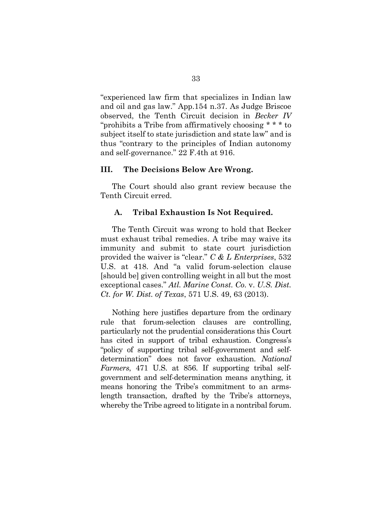"experienced law firm that specializes in Indian law and oil and gas law." App.154 n.37. As Judge Briscoe observed, the Tenth Circuit decision in *Becker IV* "prohibits a Tribe from affirmatively choosing \* \* \* to subject itself to state jurisdiction and state law" and is thus "contrary to the principles of Indian autonomy and self-governance." 22 F.4th at 916.

### <span id="page-44-0"></span>**III. The Decisions Below Are Wrong.**

The Court should also grant review because the Tenth Circuit erred.

#### <span id="page-44-1"></span>**A. Tribal Exhaustion Is Not Required.**

The Tenth Circuit was wrong to hold that Becker must exhaust tribal remedies. A tribe may waive its immunity and submit to state court jurisdiction provided the waiver is "clear." *C & L Enterprises*, 532 U.S. at 418. And "a valid forum-selection clause [should be] given controlling weight in all but the most exceptional cases." *Atl. Marine Const. Co.* v. *U.S. Dist. Ct. for W. Dist. of Texas*, 571 U.S. 49, 63 (2013).

<span id="page-44-2"></span>Nothing here justifies departure from the ordinary rule that forum-selection clauses are controlling, particularly not the prudential considerations this Court has cited in support of tribal exhaustion. Congress's "policy of supporting tribal self-government and selfdetermination" does not favor exhaustion. *National Farmers*, 471 U.S. at 856. If supporting tribal selfgovernment and self-determination means anything, it means honoring the Tribe's commitment to an armslength transaction, drafted by the Tribe's attorneys, whereby the Tribe agreed to litigate in a nontribal forum.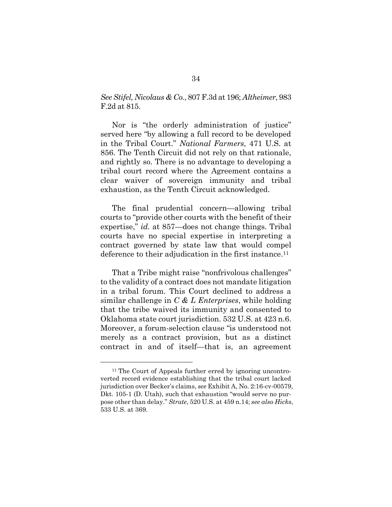<span id="page-45-0"></span>*SeeStifel, Nicolaus & Co.*, 807 F.3d at 196; *Altheimer*, 983 F.2d at 815.

Nor is "the orderly administration of justice" served here "by allowing a full record to be developed in the Tribal Court." *National Farmers*, 471 U.S. at 856. The Tenth Circuit did not rely on that rationale, and rightly so. There is no advantage to developing a tribal court record where the Agreement contains a clear waiver of sovereign immunity and tribal exhaustion, as the Tenth Circuit acknowledged.

The final prudential concern—allowing tribal courts to "provide other courts with the benefit of their expertise," *id.* at 857—does not change things. Tribal courts have no special expertise in interpreting a contract governed by state law that would compel deference to their adjudication in the first instance.<sup>11</sup>

That a Tribe might raise "nonfrivolous challenges" to the validity of a contract does not mandate litigation in a tribal forum. This Court declined to address a similar challenge in *C & L Enterprises*, while holding that the tribe waived its immunity and consented to Oklahoma state court jurisdiction. 532 U.S. at 423 n.6. Moreover, a forum-selection clause "is understood not merely as a contract provision, but as a distinct contract in and of itself—that is, an agreement

<span id="page-45-1"></span><sup>&</sup>lt;sup>11</sup> The Court of Appeals further erred by ignoring uncontroverted record evidence establishing that the tribal court lacked jurisdiction over Becker's claims, *see* Exhibit A, No. 2:16-cv-00579, Dkt. 105-1 (D. Utah), such that exhaustion "would serve no purpose other than delay." *Strate*, 520 U.S. at 459 n.14; *see also Hicks*, 533 U.S. at 369.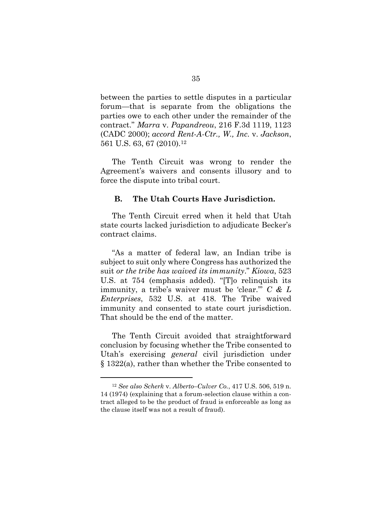<span id="page-46-2"></span>between the parties to settle disputes in a particular forum—that is separate from the obligations the parties owe to each other under the remainder of the contract." *Marra* v. *Papandreou*, 216 F.3d 1119, 1123 (CADC 2000); *accord Rent-A-Ctr., W., Inc.* v. *Jackson*, 561 U.S. 63, 67 (2010).<sup>12</sup>

<span id="page-46-3"></span>The Tenth Circuit was wrong to render the Agreement's waivers and consents illusory and to force the dispute into tribal court.

### <span id="page-46-0"></span>**B. The Utah Courts Have Jurisdiction.**

The Tenth Circuit erred when it held that Utah state courts lacked jurisdiction to adjudicate Becker's contract claims.

<span id="page-46-1"></span>"As a matter of federal law, an Indian tribe is subject to suit only where Congress has authorized the suit *or the tribe has waived its immunity*." *Kiowa*, 523 U.S. at 754 (emphasis added). "[T]o relinquish its immunity, a tribe's waiver must be 'clear.'" *C & L Enterprises*, 532 U.S. at 418. The Tribe waived immunity and consented to state court jurisdiction. That should be the end of the matter.

The Tenth Circuit avoided that straightforward conclusion by focusing whether the Tribe consented to Utah's exercising *general* civil jurisdiction under § 1322(a), rather than whether the Tribe consented to

<span id="page-46-4"></span><sup>12</sup> *See also Scherk* v. *Alberto–Culver Co.*, 417 U.S. 506, 519 n. 14 (1974) (explaining that a forum-selection clause within a contract alleged to be the product of fraud is enforceable as long as the clause itself was not a result of fraud).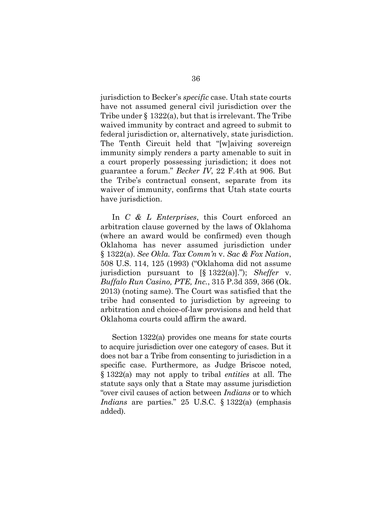jurisdiction to Becker's *specific* case. Utah state courts have not assumed general civil jurisdiction over the Tribe under § 1322(a), but that is irrelevant. The Tribe waived immunity by contract and agreed to submit to federal jurisdiction or, alternatively, state jurisdiction. The Tenth Circuit held that "[w]aiving sovereign immunity simply renders a party amenable to suit in a court properly possessing jurisdiction; it does not guarantee a forum." *Becker IV*, 22 F.4th at 906. But the Tribe's contractual consent, separate from its waiver of immunity, confirms that Utah state courts have jurisdiction.

<span id="page-47-1"></span><span id="page-47-0"></span>In *C & L Enterprises*, this Court enforced an arbitration clause governed by the laws of Oklahoma (where an award would be confirmed) even though Oklahoma has never assumed jurisdiction under § 1322(a). *See Okla. Tax Comm'n* v. *Sac & Fox Nation*, 508 U.S. 114, 125 (1993) ("Oklahoma did not assume jurisdiction pursuant to [§ 1322(a)]."); *Sheffer* v. *Buffalo Run Casino, PTE, Inc.*, 315 P.3d 359, 366 (Ok. 2013) (noting same). The Court was satisfied that the tribe had consented to jurisdiction by agreeing to arbitration and choice-of-law provisions and held that Oklahoma courts could affirm the award.

Section 1322(a) provides one means for state courts to acquire jurisdiction over one category of cases. But it does not bar a Tribe from consenting to jurisdiction in a specific case. Furthermore, as Judge Briscoe noted, § 1322(a) may not apply to tribal *entities* at all. The statute says only that a State may assume jurisdiction "over civil causes of action between *Indians* or to which *Indians* are parties." 25 U.S.C. § 1322(a) (emphasis added).